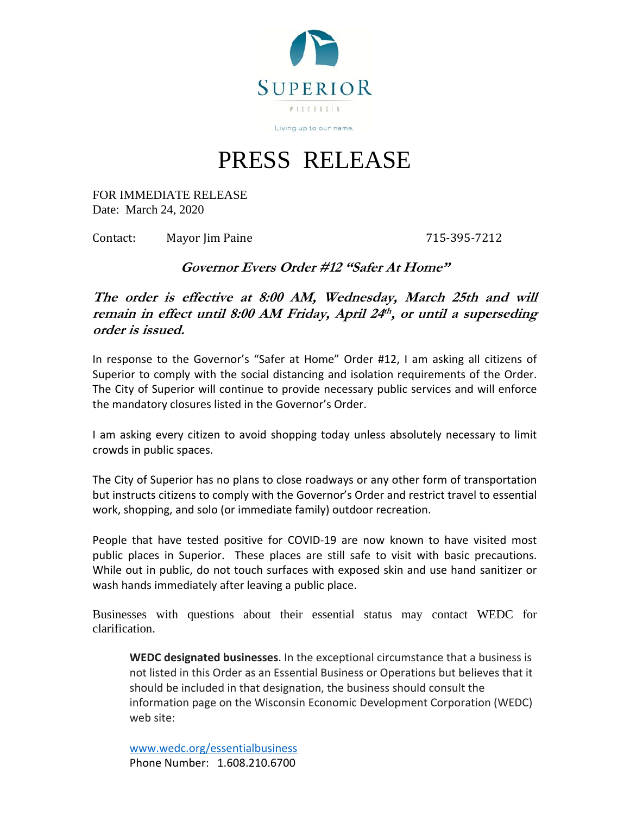

PRESS RELEASE

FOR IMMEDIATE RELEASE Date: March 24, 2020

Contact: Mayor Jim Paine 715-395-7212

**Governor Evers Order #12 "Safer At Home"** 

**The order is effective at 8:00 AM, Wednesday, March 25th and will remain in effect until 8:00 AM Friday, April 24th , or until a superseding order is issued.**

In response to the Governor's "Safer at Home" Order #12, I am asking all citizens of Superior to comply with the social distancing and isolation requirements of the Order. The City of Superior will continue to provide necessary public services and will enforce the mandatory closures listed in the Governor's Order.

I am asking every citizen to avoid shopping today unless absolutely necessary to limit crowds in public spaces.

The City of Superior has no plans to close roadways or any other form of transportation but instructs citizens to comply with the Governor's Order and restrict travel to essential work, shopping, and solo (or immediate family) outdoor recreation.

People that have tested positive for COVID‐19 are now known to have visited most public places in Superior. These places are still safe to visit with basic precautions. While out in public, do not touch surfaces with exposed skin and use hand sanitizer or wash hands immediately after leaving a public place.

Businesses with questions about their essential status may contact WEDC for clarification.

**WEDC designated businesses**. In the exceptional circumstance that a business is not listed in this Order as an Essential Business or Operations but believes that it should be included in that designation, the business should consult the information page on the Wisconsin Economic Development Corporation (WEDC) web site:

www.wedc.org/essentialbusiness Phone Number: 1.608.210.6700